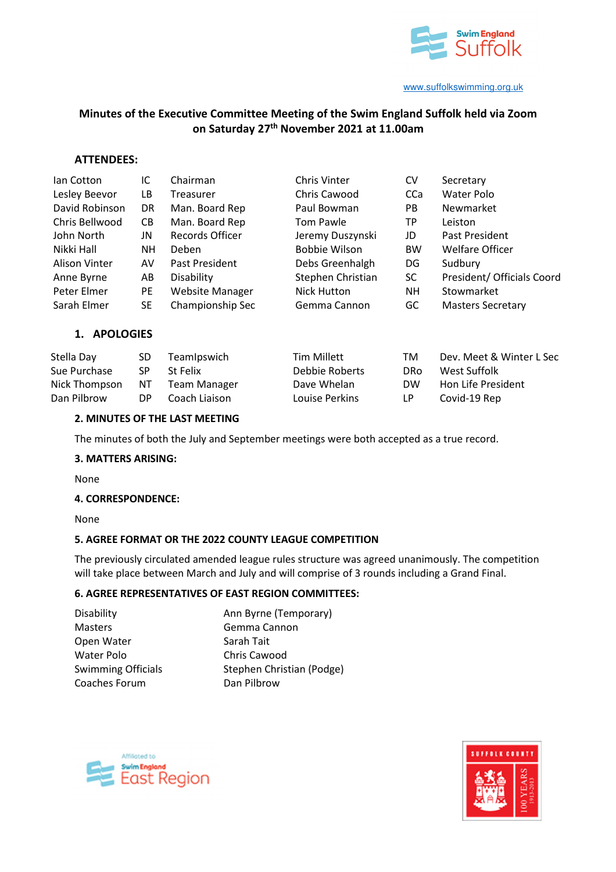

# **Minutes of the Executive Committee Meeting of the Swim England Suffolk held via Zoom on Saturday 27th November 2021 at 11.00am**

## **ATTENDEES:**

| lan Cotton     | IC  | Chairman               | Chris Vinter         | CV         | Secretary                  |
|----------------|-----|------------------------|----------------------|------------|----------------------------|
| Lesley Beevor  | LB  | Treasurer              | Chris Cawood         | <b>CCa</b> | Water Polo                 |
| David Robinson | DR. | Man. Board Rep         | Paul Bowman          | <b>PB</b>  | Newmarket                  |
| Chris Bellwood | CB. | Man. Board Rep         | Tom Pawle            | <b>TP</b>  | Leiston                    |
| John North     | JN  | Records Officer        | Jeremy Duszynski     | JD         | Past President             |
| Nikki Hall     | NΗ  | Deben                  | <b>Bobbie Wilson</b> | <b>BW</b>  | <b>Welfare Officer</b>     |
| Alison Vinter  | AV  | Past President         | Debs Greenhalgh      | DG         | Sudbury                    |
| Anne Byrne     | AB  | Disability             | Stephen Christian    | SC.        | President/ Officials Coord |
| Peter Elmer    | PE  | <b>Website Manager</b> | Nick Hutton          | NΗ         | Stowmarket                 |
| Sarah Elmer    | SE. | Championship Sec       | Gemma Cannon         | GC         | <b>Masters Secretary</b>   |
|                |     |                        |                      |            |                            |

## **1. APOLOGIES**

| Stella Day    | SD. | TeamIpswich   | Tim Millett    | тм        | Dev. Meet & Winter L Sec |
|---------------|-----|---------------|----------------|-----------|--------------------------|
| Sue Purchase  | SP  | St Felix      | Debbie Roberts | DRo.      | West Suffolk             |
| Nick Thompson | NT. | Team Manager  | Dave Whelan    | <b>DW</b> | Hon Life President       |
| Dan Pilbrow   | DP. | Coach Liaison | Louise Perkins | LP.       | Covid-19 Rep             |

#### **2. MINUTES OF THE LAST MEETING**

The minutes of both the July and September meetings were both accepted as a true record.

#### **3. MATTERS ARISING:**

None

#### **4. CORRESPONDENCE:**

None

#### **5. AGREE FORMAT OR THE 2022 COUNTY LEAGUE COMPETITION**

The previously circulated amended league rules structure was agreed unanimously. The competition will take place between March and July and will comprise of 3 rounds including a Grand Final.

#### **6. AGREE REPRESENTATIVES OF EAST REGION COMMITTEES:**

| Disability                | Ann Byrne (Temporary)     |  |  |
|---------------------------|---------------------------|--|--|
| <b>Masters</b>            | Gemma Cannon              |  |  |
| Open Water                | Sarah Tait                |  |  |
| Water Polo                | Chris Cawood              |  |  |
| <b>Swimming Officials</b> | Stephen Christian (Podge) |  |  |
| Coaches Forum             | Dan Pilbrow               |  |  |
|                           |                           |  |  |